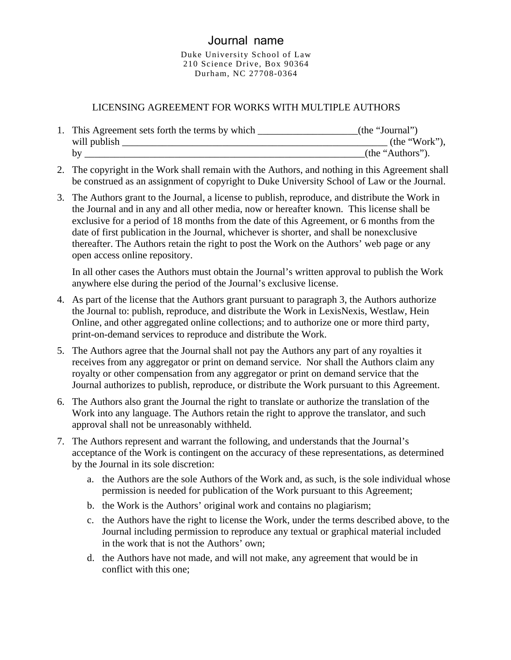## Journal name

Duke University School of Law 210 Science Drive, Box 90364 Durham, NC 27708-0364

## LICENSING AGREEMENT FOR WORKS WITH MULTIPLE AUTHORS

| This Agreement sets forth the terms by which | (the "Journal")  |
|----------------------------------------------|------------------|
| will publish                                 | (the "Work",     |
|                                              | (the "Authors"). |

- 2. The copyright in the Work shall remain with the Authors, and nothing in this Agreement shall be construed as an assignment of copyright to Duke University School of Law or the Journal.
- 3. The Authors grant to the Journal, a license to publish, reproduce, and distribute the Work in the Journal and in any and all other media, now or hereafter known. This license shall be exclusive for a period of 18 months from the date of this Agreement, or 6 months from the date of first publication in the Journal, whichever is shorter, and shall be nonexclusive thereafter. The Authors retain the right to post the Work on the Authors' web page or any open access online repository.

In all other cases the Authors must obtain the Journal's written approval to publish the Work anywhere else during the period of the Journal's exclusive license.

- 4. As part of the license that the Authors grant pursuant to paragraph 3, the Authors authorize the Journal to: publish, reproduce, and distribute the Work in LexisNexis, Westlaw, Hein Online, and other aggregated online collections; and to authorize one or more third party, print-on-demand services to reproduce and distribute the Work.
- 5. The Authors agree that the Journal shall not pay the Authors any part of any royalties it receives from any aggregator or print on demand service. Nor shall the Authors claim any royalty or other compensation from any aggregator or print on demand service that the Journal authorizes to publish, reproduce, or distribute the Work pursuant to this Agreement.
- 6. The Authors also grant the Journal the right to translate or authorize the translation of the Work into any language. The Authors retain the right to approve the translator, and such approval shall not be unreasonably withheld.
- 7. The Authors represent and warrant the following, and understands that the Journal's acceptance of the Work is contingent on the accuracy of these representations, as determined by the Journal in its sole discretion:
	- a. the Authors are the sole Authors of the Work and, as such, is the sole individual whose permission is needed for publication of the Work pursuant to this Agreement;
	- b. the Work is the Authors' original work and contains no plagiarism;
	- c. the Authors have the right to license the Work, under the terms described above, to the Journal including permission to reproduce any textual or graphical material included in the work that is not the Authors' own;
	- d. the Authors have not made, and will not make, any agreement that would be in conflict with this one;